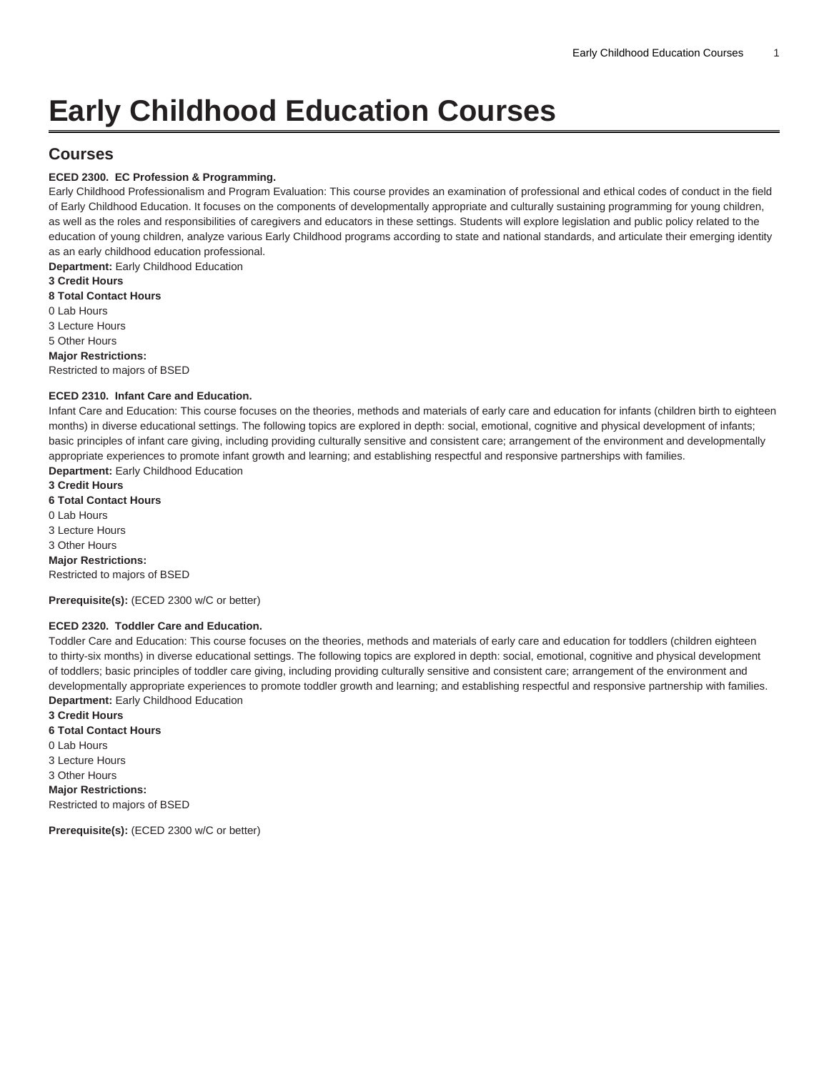# **Early Childhood Education Courses**

# **Courses**

# **ECED 2300. EC Profession & Programming.**

Early Childhood Professionalism and Program Evaluation: This course provides an examination of professional and ethical codes of conduct in the field of Early Childhood Education. It focuses on the components of developmentally appropriate and culturally sustaining programming for young children, as well as the roles and responsibilities of caregivers and educators in these settings. Students will explore legislation and public policy related to the education of young children, analyze various Early Childhood programs according to state and national standards, and articulate their emerging identity as an early childhood education professional.

**Department:** Early Childhood Education **3 Credit Hours**

**8 Total Contact Hours** 0 Lab Hours 3 Lecture Hours 5 Other Hours **Major Restrictions:** Restricted to majors of BSED

# **ECED 2310. Infant Care and Education.**

Infant Care and Education: This course focuses on the theories, methods and materials of early care and education for infants (children birth to eighteen months) in diverse educational settings. The following topics are explored in depth: social, emotional, cognitive and physical development of infants; basic principles of infant care giving, including providing culturally sensitive and consistent care; arrangement of the environment and developmentally appropriate experiences to promote infant growth and learning; and establishing respectful and responsive partnerships with families. **Department:** Early Childhood Education

**3 Credit Hours 6 Total Contact Hours** 0 Lab Hours 3 Lecture Hours 3 Other Hours **Major Restrictions:** Restricted to majors of BSED

**Prerequisite(s):** ([ECED 2300](/search/?P=ECED%202300) w/C or better)

# **ECED 2320. Toddler Care and Education.**

Toddler Care and Education: This course focuses on the theories, methods and materials of early care and education for toddlers (children eighteen to thirty-six months) in diverse educational settings. The following topics are explored in depth: social, emotional, cognitive and physical development of toddlers; basic principles of toddler care giving, including providing culturally sensitive and consistent care; arrangement of the environment and developmentally appropriate experiences to promote toddler growth and learning; and establishing respectful and responsive partnership with families. **Department:** Early Childhood Education

**3 Credit Hours 6 Total Contact Hours** 0 Lab Hours 3 Lecture Hours 3 Other Hours **Major Restrictions:** Restricted to majors of BSED

**Prerequisite(s):** ([ECED 2300](/search/?P=ECED%202300) w/C or better)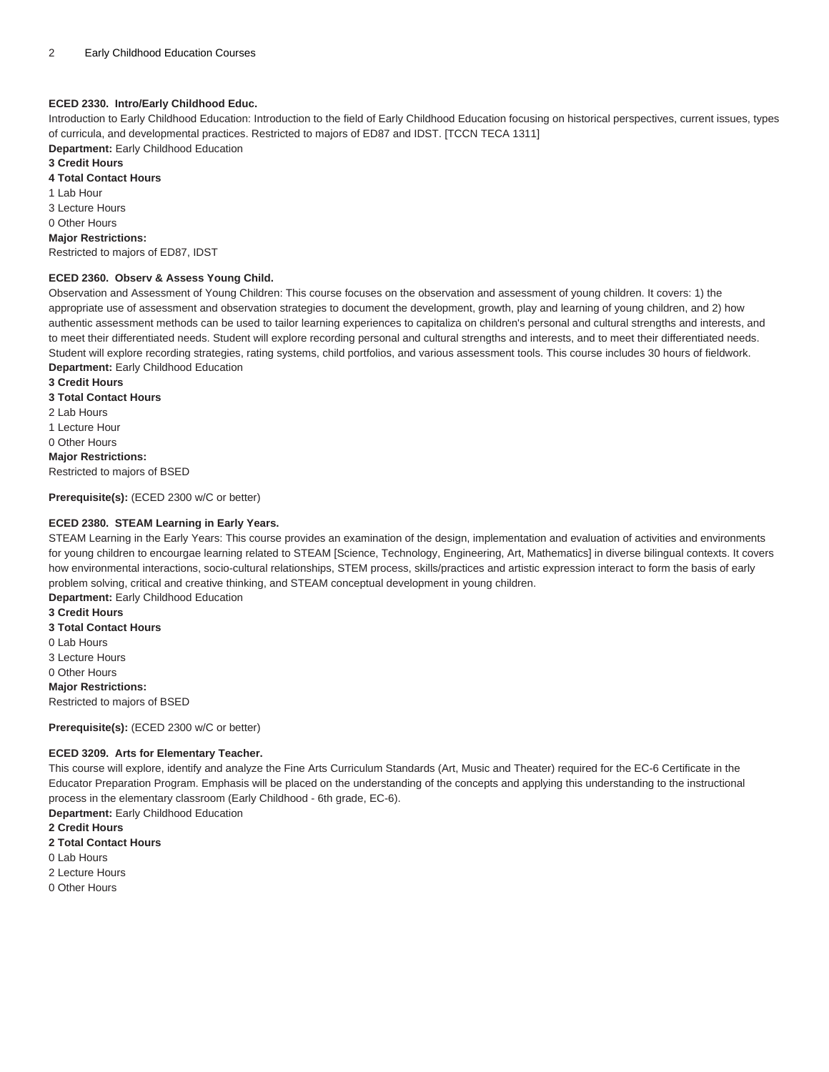### **ECED 2330. Intro/Early Childhood Educ.**

Introduction to Early Childhood Education: Introduction to the field of Early Childhood Education focusing on historical perspectives, current issues, types of curricula, and developmental practices. Restricted to majors of ED87 and IDST. [TCCN TECA 1311] **Department:** Early Childhood Education

#### **3 Credit Hours 4 Total Contact Hours**

1 Lab Hour

3 Lecture Hours

0 Other Hours

# **Major Restrictions:**

Restricted to majors of ED87, IDST

#### **ECED 2360. Observ & Assess Young Child.**

Observation and Assessment of Young Children: This course focuses on the observation and assessment of young children. It covers: 1) the appropriate use of assessment and observation strategies to document the development, growth, play and learning of young children, and 2) how authentic assessment methods can be used to tailor learning experiences to capitaliza on children's personal and cultural strengths and interests, and to meet their differentiated needs. Student will explore recording personal and cultural strengths and interests, and to meet their differentiated needs. Student will explore recording strategies, rating systems, child portfolios, and various assessment tools. This course includes 30 hours of fieldwork. **Department:** Early Childhood Education

**3 Credit Hours**

#### **3 Total Contact Hours**

2 Lab Hours

1 Lecture Hour

0 Other Hours

#### **Major Restrictions:**

Restricted to majors of BSED

**Prerequisite(s):** ([ECED 2300](/search/?P=ECED%202300) w/C or better)

# **ECED 2380. STEAM Learning in Early Years.**

STEAM Learning in the Early Years: This course provides an examination of the design, implementation and evaluation of activities and environments for young children to encourgae learning related to STEAM [Science, Technology, Engineering, Art, Mathematics] in diverse bilingual contexts. It covers how environmental interactions, socio-cultural relationships, STEM process, skills/practices and artistic expression interact to form the basis of early problem solving, critical and creative thinking, and STEAM conceptual development in young children.

**Department:** Early Childhood Education **3 Credit Hours 3 Total Contact Hours** 0 Lab Hours 3 Lecture Hours 0 Other Hours

**Major Restrictions:** Restricted to majors of BSED

**Prerequisite(s):** ([ECED 2300](/search/?P=ECED%202300) w/C or better)

#### **ECED 3209. Arts for Elementary Teacher.**

This course will explore, identify and analyze the Fine Arts Curriculum Standards (Art, Music and Theater) required for the EC-6 Certificate in the Educator Preparation Program. Emphasis will be placed on the understanding of the concepts and applying this understanding to the instructional process in the elementary classroom (Early Childhood - 6th grade, EC-6).

**Department:** Early Childhood Education

- **2 Credit Hours**
- **2 Total Contact Hours**
- 0 Lab Hours
- 2 Lecture Hours
- 0 Other Hours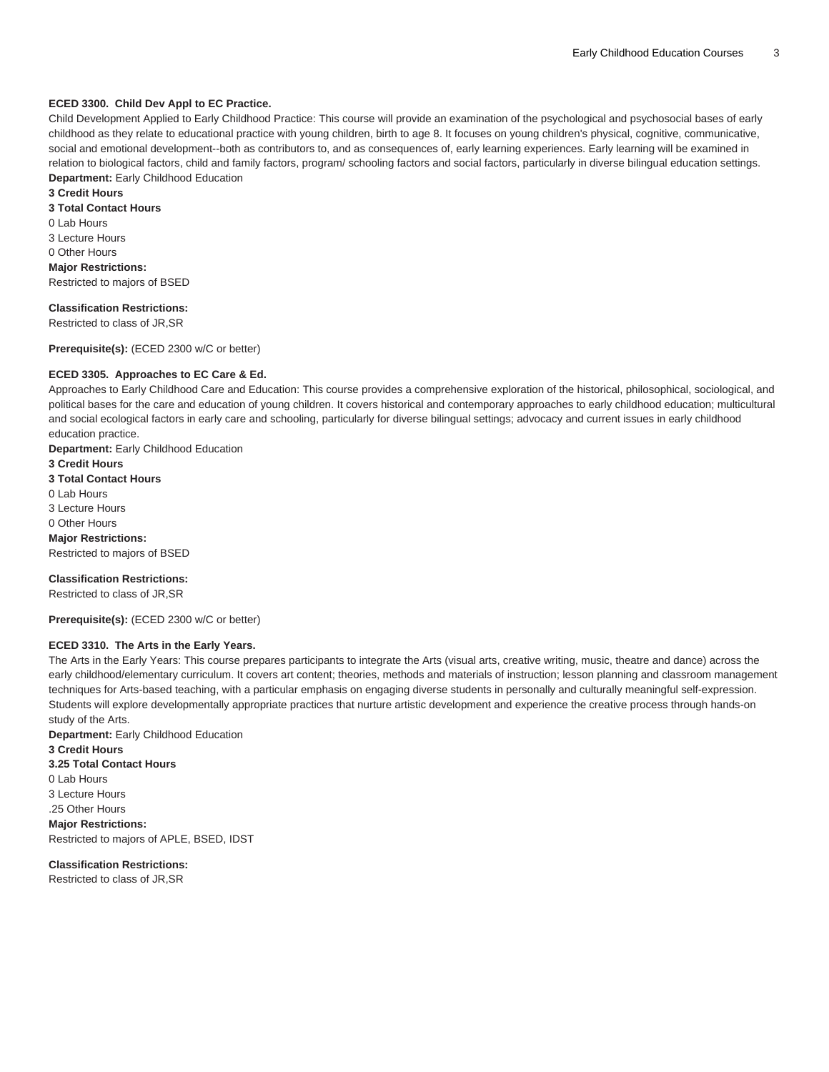#### **ECED 3300. Child Dev Appl to EC Practice.**

Child Development Applied to Early Childhood Practice: This course will provide an examination of the psychological and psychosocial bases of early childhood as they relate to educational practice with young children, birth to age 8. It focuses on young children's physical, cognitive, communicative, social and emotional development--both as contributors to, and as consequences of, early learning experiences. Early learning will be examined in relation to biological factors, child and family factors, program/ schooling factors and social factors, particularly in diverse bilingual education settings. **Department:** Early Childhood Education

**3 Credit Hours**

**3 Total Contact Hours** 0 Lab Hours 3 Lecture Hours 0 Other Hours **Major Restrictions:** Restricted to majors of BSED

**Classification Restrictions:**

Restricted to class of JR,SR

**Prerequisite(s):** ([ECED 2300](/search/?P=ECED%202300) w/C or better)

#### **ECED 3305. Approaches to EC Care & Ed.**

Approaches to Early Childhood Care and Education: This course provides a comprehensive exploration of the historical, philosophical, sociological, and political bases for the care and education of young children. It covers historical and contemporary approaches to early childhood education; multicultural and social ecological factors in early care and schooling, particularly for diverse bilingual settings; advocacy and current issues in early childhood education practice.

**Department:** Early Childhood Education **3 Credit Hours 3 Total Contact Hours** 0 Lab Hours 3 Lecture Hours 0 Other Hours **Major Restrictions:** Restricted to majors of BSED

#### **Classification Restrictions:**

Restricted to class of JR,SR

**Prerequisite(s):** ([ECED 2300](/search/?P=ECED%202300) w/C or better)

#### **ECED 3310. The Arts in the Early Years.**

The Arts in the Early Years: This course prepares participants to integrate the Arts (visual arts, creative writing, music, theatre and dance) across the early childhood/elementary curriculum. It covers art content; theories, methods and materials of instruction; lesson planning and classroom management techniques for Arts-based teaching, with a particular emphasis on engaging diverse students in personally and culturally meaningful self-expression. Students will explore developmentally appropriate practices that nurture artistic development and experience the creative process through hands-on study of the Arts.

**Department:** Early Childhood Education **3 Credit Hours 3.25 Total Contact Hours** 0 Lab Hours 3 Lecture Hours .25 Other Hours **Major Restrictions:** Restricted to majors of APLE, BSED, IDST

**Classification Restrictions:** Restricted to class of JR,SR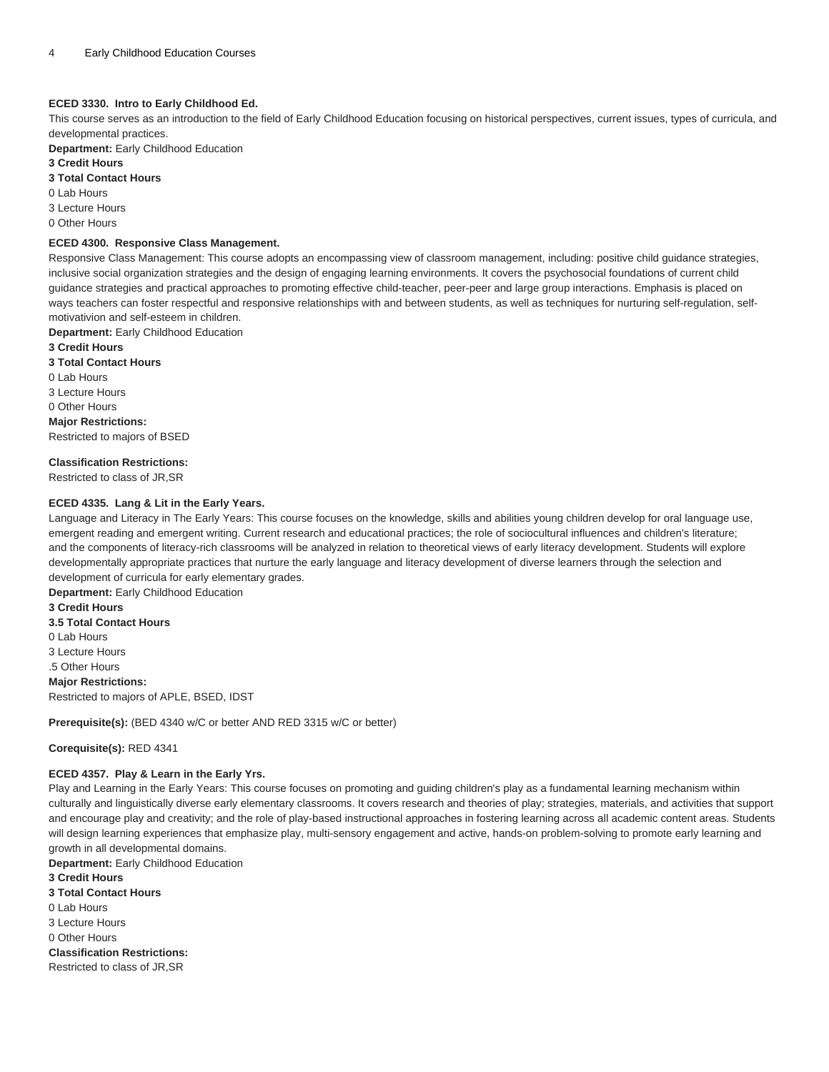#### **ECED 3330. Intro to Early Childhood Ed.**

This course serves as an introduction to the field of Early Childhood Education focusing on historical perspectives, current issues, types of curricula, and developmental practices.

**Department:** Early Childhood Education

#### **3 Credit Hours**

**3 Total Contact Hours**

- 0 Lab Hours
- 3 Lecture Hours
- 0 Other Hours

#### **ECED 4300. Responsive Class Management.**

Responsive Class Management: This course adopts an encompassing view of classroom management, including: positive child guidance strategies, inclusive social organization strategies and the design of engaging learning environments. It covers the psychosocial foundations of current child guidance strategies and practical approaches to promoting effective child-teacher, peer-peer and large group interactions. Emphasis is placed on ways teachers can foster respectful and responsive relationships with and between students, as well as techniques for nurturing self-regulation, selfmotivativion and self-esteem in children.

**Department:** Early Childhood Education

**3 Credit Hours 3 Total Contact Hours**

0 Lab Hours 3 Lecture Hours 0 Other Hours **Major Restrictions:** Restricted to majors of BSED

#### **Classification Restrictions:**

Restricted to class of JR,SR

#### **ECED 4335. Lang & Lit in the Early Years.**

Language and Literacy in The Early Years: This course focuses on the knowledge, skills and abilities young children develop for oral language use, emergent reading and emergent writing. Current research and educational practices; the role of sociocultural influences and children's literature; and the components of literacy-rich classrooms will be analyzed in relation to theoretical views of early literacy development. Students will explore developmentally appropriate practices that nurture the early language and literacy development of diverse learners through the selection and development of curricula for early elementary grades. **Department:** Early Childhood Education

**3 Credit Hours 3.5 Total Contact Hours** 0 Lab Hours 3 Lecture Hours .5 Other Hours **Major Restrictions:** Restricted to majors of APLE, BSED, IDST

**Prerequisite(s):** ([BED 4340](/search/?P=BED%204340) w/C or better AND [RED 3315](/search/?P=RED%203315) w/C or better)

#### **Corequisite(s):** [RED 4341](/search/?P=RED%204341)

#### **ECED 4357. Play & Learn in the Early Yrs.**

Play and Learning in the Early Years: This course focuses on promoting and guiding children's play as a fundamental learning mechanism within culturally and linguistically diverse early elementary classrooms. It covers research and theories of play; strategies, materials, and activities that support and encourage play and creativity; and the role of play-based instructional approaches in fostering learning across all academic content areas. Students will design learning experiences that emphasize play, multi-sensory engagement and active, hands-on problem-solving to promote early learning and growth in all developmental domains.

**Department:** Early Childhood Education

- **3 Credit Hours**
- **3 Total Contact Hours**
- 0 Lab Hours
- 3 Lecture Hours

0 Other Hours

**Classification Restrictions:**

Restricted to class of JR,SR